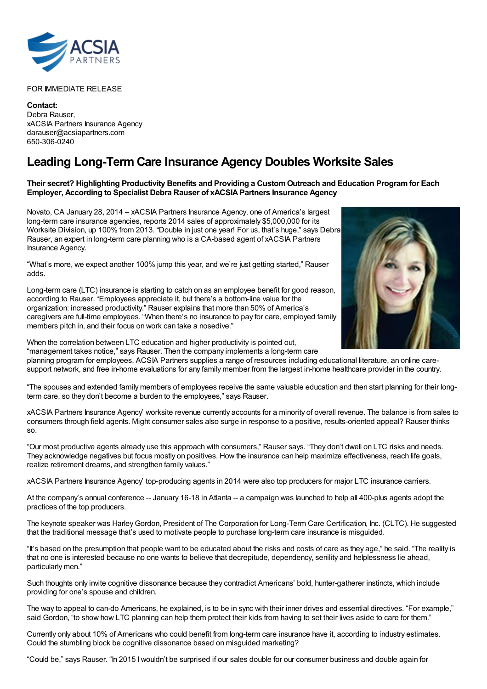

FOR IMMEDIATE RELEASE

**Contact:** Debra Rauser, xACSIA Partners Insurance Agency darauser@acsiapartners.com 650-306-0240

## **Leading Long-Term Care Insurance Agency Doubles Worksite Sales**

## **Their secret? Highlighting Productivity Benefits and Providing a CustomOutreach and Education Programfor Each Employer, According to Specialist Debra Rauser of xACSIAPartners Insurance Agency**

Novato, CA January 28, 2014 – xACSIA Partners Insurance Agency, one of America's largest long-term care insurance agencies, reports 2014 sales of approximately \$5,000,000 for its Worksite Division, up 100% from 2013. "Double in just one year! For us, that's huge," says Debra Rauser, an expert in long-term care planning who is a CA-based agent of xACSIA Partners Insurance Agency.

"What's more, we expect another 100% jump this year, and we're just getting started," Rauser adds.

Long-term care (LTC) insurance is starting to catch on as an employee benefit for good reason, according to Rauser. "Employees appreciate it, but there's a bottom-line value for the organization: increased productivity." Rauser explains that more than 50% of America's caregivers are full-time employees. "When there's no insurance to pay for care, employed family members pitch in, and their focus on work can take a nosedive."



When the correlation between LTC education and higher productivity is pointed out, "management takes notice," says Rauser. Then the company implements a long-term care

planning program for employees. ACSIA Partners supplies a range of resources including educational literature, an online caresupport network, and free in-home evaluations for any family member from the largest in-home healthcare provider in the country.

"The spouses and extended family members of employees receive the same valuable education and then start planning for their longterm care, so they don't become a burden to the employees," says Rauser.

xACSIA Partners Insurance Agency' worksite revenue currently accounts for a minority of overall revenue. The balance is from sales to consumers through field agents. Might consumer sales also surge in response to a positive, results-oriented appeal? Rauser thinks so.

"Our most productive agents already use this approach with consumers," Rauser says. "They don't dwell on LTC risks and needs. They acknowledge negatives but focus mostly on positives. How the insurance can help maximize effectiveness, reach life goals, realize retirement dreams, and strengthen family values."

xACSIA Partners Insurance Agency' top-producing agents in 2014 were also top producers for major LTC insurance carriers.

At the company's annual conference -- January 16-18 in Atlanta -- a campaign was launched to help all 400-plus agents adopt the practices of the top producers.

The keynote speaker was Harley Gordon, President of The Corporation for Long-Term Care Certification, Inc. (CLTC). He suggested that the traditional message that's used to motivate people to purchase long-term care insurance is misguided.

"It's based on the presumption that people want to be educated about the risks and costs of care as they age," he said. "The reality is that no one is interested because no one wants to believe that decrepitude, dependency, senility and helplessness lie ahead, particularly men."

Such thoughts only invite cognitive dissonance because they contradict Americans' bold, hunter-gatherer instincts, which include providing for one's spouse and children.

The way to appeal to can-do Americans, he explained, is to be in sync with their inner drives and essential directives. "For example," said Gordon, "to show how LTC planning can help them protect their kids from having to set their lives aside to care for them."

Currently only about 10% of Americans who could benefit from long-term care insurance have it, according to industry estimates. Could the stumbling block be cognitive dissonance based on misguided marketing?

"Could be," says Rauser. "In 2015 Iwouldn't be surprised if our sales double for our consumer business and double again for